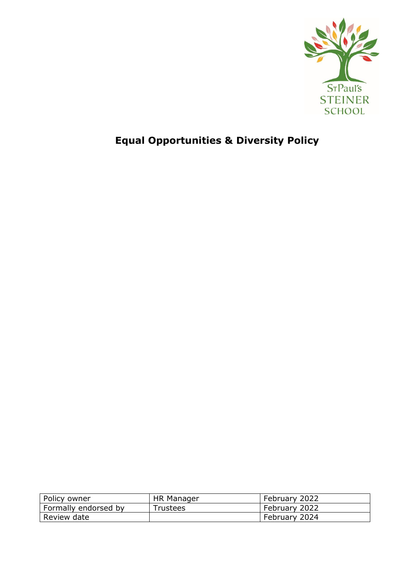

# **Equal Opportunities & Diversity Policy**

| Policy owner         | HR Manager      | February 2022 |
|----------------------|-----------------|---------------|
| Formally endorsed by | <b>Trustees</b> | February 2022 |
| Review date          |                 | February 2024 |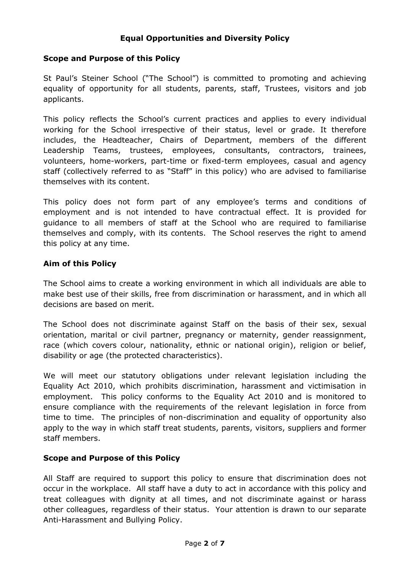#### **Equal Opportunities and Diversity Policy**

#### **Scope and Purpose of this Policy**

St Paul's Steiner School ("The School") is committed to promoting and achieving equality of opportunity for all students, parents, staff, Trustees, visitors and job applicants.

This policy reflects the School's current practices and applies to every individual working for the School irrespective of their status, level or grade. It therefore includes, the Headteacher, Chairs of Department, members of the different Leadership Teams, trustees, employees, consultants, contractors, trainees, volunteers, home-workers, part-time or fixed-term employees, casual and agency staff (collectively referred to as "Staff" in this policy) who are advised to familiarise themselves with its content.

This policy does not form part of any employee's terms and conditions of employment and is not intended to have contractual effect. It is provided for guidance to all members of staff at the School who are required to familiarise themselves and comply, with its contents. The School reserves the right to amend this policy at any time.

#### **Aim of this Policy**

The School aims to create a working environment in which all individuals are able to make best use of their skills, free from discrimination or harassment, and in which all decisions are based on merit.

The School does not discriminate against Staff on the basis of their sex, sexual orientation, marital or civil partner, pregnancy or maternity, gender reassignment, race (which covers colour, nationality, ethnic or national origin), religion or belief, disability or age (the protected characteristics).

We will meet our statutory obligations under relevant legislation including the Equality Act 2010, which prohibits discrimination, harassment and victimisation in employment. This policy conforms to the Equality Act 2010 and is monitored to ensure compliance with the requirements of the relevant legislation in force from time to time. The principles of non-discrimination and equality of opportunity also apply to the way in which staff treat students, parents, visitors, suppliers and former staff members.

#### **Scope and Purpose of this Policy**

All Staff are required to support this policy to ensure that discrimination does not occur in the workplace. All staff have a duty to act in accordance with this policy and treat colleagues with dignity at all times, and not discriminate against or harass other colleagues, regardless of their status. Your attention is drawn to our separate Anti-Harassment and Bullying Policy.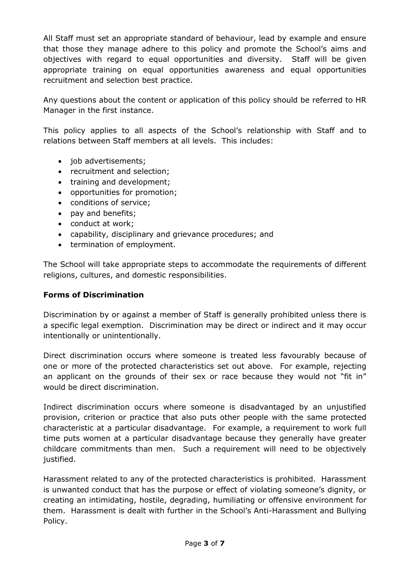All Staff must set an appropriate standard of behaviour, lead by example and ensure that those they manage adhere to this policy and promote the School's aims and objectives with regard to equal opportunities and diversity. Staff will be given appropriate training on equal opportunities awareness and equal opportunities recruitment and selection best practice.

Any questions about the content or application of this policy should be referred to HR Manager in the first instance.

This policy applies to all aspects of the School's relationship with Staff and to relations between Staff members at all levels. This includes:

- iob advertisements;
- recruitment and selection;
- training and development;
- opportunities for promotion;
- conditions of service;
- pay and benefits;
- conduct at work;
- capability, disciplinary and grievance procedures; and
- termination of employment.

The School will take appropriate steps to accommodate the requirements of different religions, cultures, and domestic responsibilities.

#### **Forms of Discrimination**

Discrimination by or against a member of Staff is generally prohibited unless there is a specific legal exemption. Discrimination may be direct or indirect and it may occur intentionally or unintentionally.

Direct discrimination occurs where someone is treated less favourably because of one or more of the protected characteristics set out above. For example, rejecting an applicant on the grounds of their sex or race because they would not "fit in" would be direct discrimination.

Indirect discrimination occurs where someone is disadvantaged by an unjustified provision, criterion or practice that also puts other people with the same protected characteristic at a particular disadvantage. For example, a requirement to work full time puts women at a particular disadvantage because they generally have greater childcare commitments than men. Such a requirement will need to be objectively justified.

Harassment related to any of the protected characteristics is prohibited. Harassment is unwanted conduct that has the purpose or effect of violating someone's dignity, or creating an intimidating, hostile, degrading, humiliating or offensive environment for them. Harassment is dealt with further in the School's Anti-Harassment and Bullying Policy.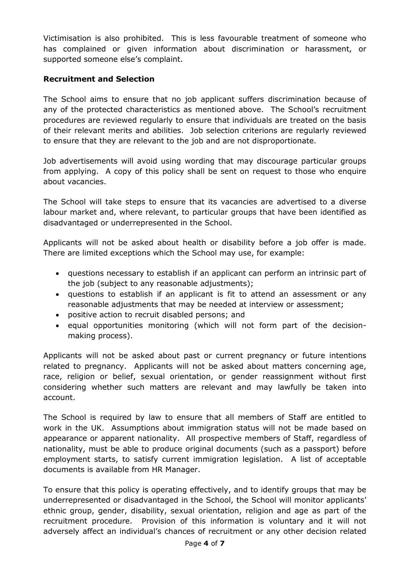Victimisation is also prohibited. This is less favourable treatment of someone who has complained or given information about discrimination or harassment, or supported someone else's complaint.

## **Recruitment and Selection**

The School aims to ensure that no job applicant suffers discrimination because of any of the protected characteristics as mentioned above. The School's recruitment procedures are reviewed regularly to ensure that individuals are treated on the basis of their relevant merits and abilities. Job selection criterions are regularly reviewed to ensure that they are relevant to the job and are not disproportionate.

Job advertisements will avoid using wording that may discourage particular groups from applying. A copy of this policy shall be sent on request to those who enquire about vacancies.

The School will take steps to ensure that its vacancies are advertised to a diverse labour market and, where relevant, to particular groups that have been identified as disadvantaged or underrepresented in the School.

Applicants will not be asked about health or disability before a job offer is made. There are limited exceptions which the School may use, for example:

- questions necessary to establish if an applicant can perform an intrinsic part of the job (subject to any reasonable adjustments);
- questions to establish if an applicant is fit to attend an assessment or any reasonable adjustments that may be needed at interview or assessment;
- positive action to recruit disabled persons; and
- equal opportunities monitoring (which will not form part of the decisionmaking process).

Applicants will not be asked about past or current pregnancy or future intentions related to pregnancy. Applicants will not be asked about matters concerning age, race, religion or belief, sexual orientation, or gender reassignment without first considering whether such matters are relevant and may lawfully be taken into account.

The School is required by law to ensure that all members of Staff are entitled to work in the UK. Assumptions about immigration status will not be made based on appearance or apparent nationality. All prospective members of Staff, regardless of nationality, must be able to produce original documents (such as a passport) before employment starts, to satisfy current immigration legislation. A list of acceptable documents is available from HR Manager.

To ensure that this policy is operating effectively, and to identify groups that may be underrepresented or disadvantaged in the School, the School will monitor applicants' ethnic group, gender, disability, sexual orientation, religion and age as part of the recruitment procedure. Provision of this information is voluntary and it will not adversely affect an individual's chances of recruitment or any other decision related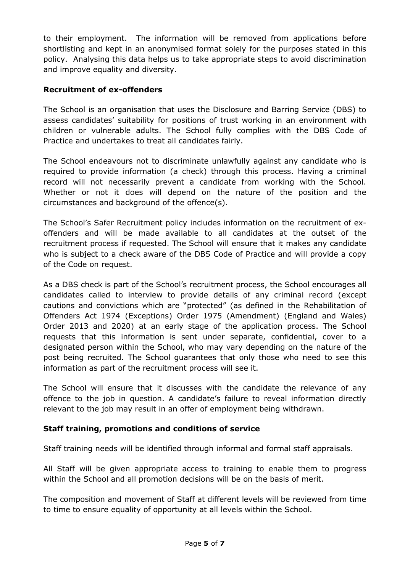to their employment. The information will be removed from applications before shortlisting and kept in an anonymised format solely for the purposes stated in this policy. Analysing this data helps us to take appropriate steps to avoid discrimination and improve equality and diversity.

## **Recruitment of ex-offenders**

The School is an organisation that uses the Disclosure and Barring Service (DBS) to assess candidates' suitability for positions of trust working in an environment with children or vulnerable adults. The School fully complies with the DBS Code of Practice and undertakes to treat all candidates fairly.

The School endeavours not to discriminate unlawfully against any candidate who is required to provide information (a check) through this process. Having a criminal record will not necessarily prevent a candidate from working with the School. Whether or not it does will depend on the nature of the position and the circumstances and background of the offence(s).

The School's Safer Recruitment policy includes information on the recruitment of exoffenders and will be made available to all candidates at the outset of the recruitment process if requested. The School will ensure that it makes any candidate who is subject to a check aware of the DBS Code of Practice and will provide a copy of the Code on request.

As a DBS check is part of the School's recruitment process, the School encourages all candidates called to interview to provide details of any criminal record (except cautions and convictions which are "protected" (as defined in the Rehabilitation of Offenders Act 1974 (Exceptions) Order 1975 (Amendment) (England and Wales) Order 2013 and 2020) at an early stage of the application process. The School requests that this information is sent under separate, confidential, cover to a designated person within the School, who may vary depending on the nature of the post being recruited. The School guarantees that only those who need to see this information as part of the recruitment process will see it.

The School will ensure that it discusses with the candidate the relevance of any offence to the job in question. A candidate's failure to reveal information directly relevant to the job may result in an offer of employment being withdrawn.

## **Staff training, promotions and conditions of service**

Staff training needs will be identified through informal and formal staff appraisals.

All Staff will be given appropriate access to training to enable them to progress within the School and all promotion decisions will be on the basis of merit.

The composition and movement of Staff at different levels will be reviewed from time to time to ensure equality of opportunity at all levels within the School.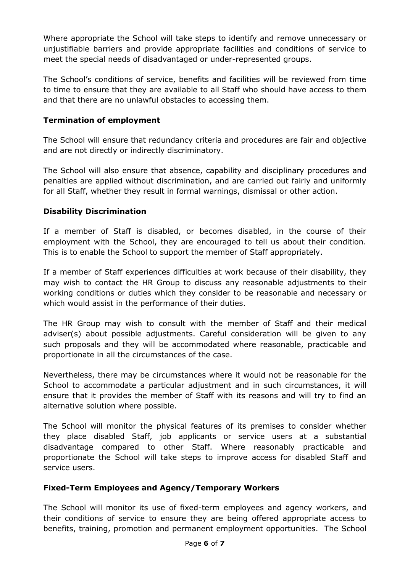Where appropriate the School will take steps to identify and remove unnecessary or unjustifiable barriers and provide appropriate facilities and conditions of service to meet the special needs of disadvantaged or under-represented groups.

The School's conditions of service, benefits and facilities will be reviewed from time to time to ensure that they are available to all Staff who should have access to them and that there are no unlawful obstacles to accessing them.

## **Termination of employment**

The School will ensure that redundancy criteria and procedures are fair and objective and are not directly or indirectly discriminatory.

The School will also ensure that absence, capability and disciplinary procedures and penalties are applied without discrimination, and are carried out fairly and uniformly for all Staff, whether they result in formal warnings, dismissal or other action.

## **Disability Discrimination**

If a member of Staff is disabled, or becomes disabled, in the course of their employment with the School, they are encouraged to tell us about their condition. This is to enable the School to support the member of Staff appropriately.

If a member of Staff experiences difficulties at work because of their disability, they may wish to contact the HR Group to discuss any reasonable adjustments to their working conditions or duties which they consider to be reasonable and necessary or which would assist in the performance of their duties.

The HR Group may wish to consult with the member of Staff and their medical adviser(s) about possible adjustments. Careful consideration will be given to any such proposals and they will be accommodated where reasonable, practicable and proportionate in all the circumstances of the case.

Nevertheless, there may be circumstances where it would not be reasonable for the School to accommodate a particular adjustment and in such circumstances, it will ensure that it provides the member of Staff with its reasons and will try to find an alternative solution where possible.

The School will monitor the physical features of its premises to consider whether they place disabled Staff, job applicants or service users at a substantial disadvantage compared to other Staff. Where reasonably practicable and proportionate the School will take steps to improve access for disabled Staff and service users.

## **Fixed-Term Employees and Agency/Temporary Workers**

The School will monitor its use of fixed-term employees and agency workers, and their conditions of service to ensure they are being offered appropriate access to benefits, training, promotion and permanent employment opportunities. The School